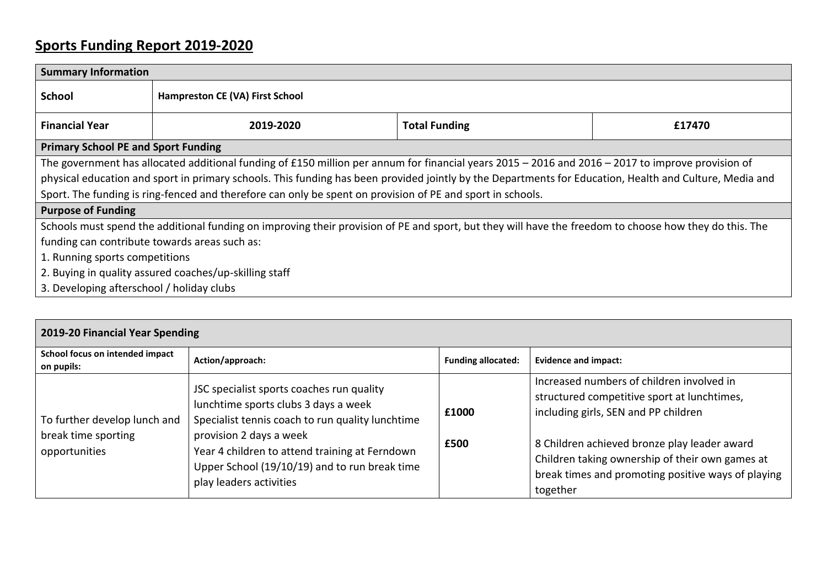## **Sports Funding Report 2019-2020**

| <b>Summary Information</b>                                                                                                                              |                                 |                      |        |  |  |
|---------------------------------------------------------------------------------------------------------------------------------------------------------|---------------------------------|----------------------|--------|--|--|
| <b>School</b>                                                                                                                                           | Hampreston CE (VA) First School |                      |        |  |  |
| <b>Financial Year</b>                                                                                                                                   | 2019-2020                       | <b>Total Funding</b> | £17470 |  |  |
| <b>Primary School PE and Sport Funding</b>                                                                                                              |                                 |                      |        |  |  |
| The government has allocated additional funding of £150 million per annum for financial years $2015 - 2016$ and $2016 - 2017$ to improve provision of   |                                 |                      |        |  |  |
| physical education and sport in primary schools. This funding has been provided jointly by the Departments for Education, Health and Culture, Media and |                                 |                      |        |  |  |
| Sport. The funding is ring-fenced and therefore can only be spent on provision of PE and sport in schools.                                              |                                 |                      |        |  |  |
| <b>Purpose of Funding</b>                                                                                                                               |                                 |                      |        |  |  |
| Schools must spend the additional funding on improving their provision of PE and sport, but they will have the freedom to choose how they do this. The  |                                 |                      |        |  |  |
| funding can contribute towards areas such as:                                                                                                           |                                 |                      |        |  |  |
| 1. Running sports competitions                                                                                                                          |                                 |                      |        |  |  |
| 2. Buying in quality assured coaches/up-skilling staff                                                                                                  |                                 |                      |        |  |  |
| 3. Developing afterschool / holiday clubs                                                                                                               |                                 |                      |        |  |  |

| 2019-20 Financial Year Spending                                      |                                                                                                                                                                                                                                                                                                |                           |                                                                                                                                                                                                                                                                                                       |  |  |  |
|----------------------------------------------------------------------|------------------------------------------------------------------------------------------------------------------------------------------------------------------------------------------------------------------------------------------------------------------------------------------------|---------------------------|-------------------------------------------------------------------------------------------------------------------------------------------------------------------------------------------------------------------------------------------------------------------------------------------------------|--|--|--|
| School focus on intended impact<br>on pupils:                        | Action/approach:                                                                                                                                                                                                                                                                               | <b>Funding allocated:</b> | <b>Evidence and impact:</b>                                                                                                                                                                                                                                                                           |  |  |  |
| To further develop lunch and<br>break time sporting<br>opportunities | JSC specialist sports coaches run quality<br>lunchtime sports clubs 3 days a week<br>Specialist tennis coach to run quality lunchtime<br>provision 2 days a week<br>Year 4 children to attend training at Ferndown<br>Upper School (19/10/19) and to run break time<br>play leaders activities | £1000<br>£500             | Increased numbers of children involved in<br>structured competitive sport at lunchtimes,<br>including girls, SEN and PP children<br>8 Children achieved bronze play leader award<br>Children taking ownership of their own games at<br>break times and promoting positive ways of playing<br>together |  |  |  |